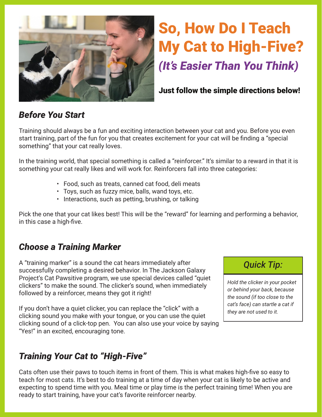

# So, How Do I Teach My Cat to High-Five? *(It's Easier Than You Think)*

#### Just follow the simple directions below!

### *Before You Start*

Training should always be a fun and exciting interaction between your cat and you. Before you even start training, part of the fun for you that creates excitement for your cat will be finding a "special something" that your cat really loves.

In the training world, that special something is called a "reinforcer." It's similar to a reward in that it is something your cat really likes and will work for. Reinforcers fall into three categories:

- Food, such as treats, canned cat food, deli meats
- Toys, such as fuzzy mice, balls, wand toys, etc.
- Interactions, such as petting, brushing, or talking

Pick the one that your cat likes best! This will be the "reward" for learning and performing a behavior, in this case a high-five.

#### *Choose a Training Marker*

A "training marker" is a sound the cat hears immediately after successfully completing a desired behavior. In The Jackson Galaxy Project's Cat Pawsitive program, we use special devices called "quiet clickers" to make the sound. The clicker's sound, when immediately followed by a reinforcer, means they got it right!

If you don't have a quiet clicker, you can replace the "click" with a clicking sound you make with your tongue, or you can use the quiet clicking sound of a click-top pen. You can also use your voice by saying "Yes!" in an excited, encouraging tone.

## *Quick Tip:*

*Hold the clicker in your pocket or behind your back, because the sound (if too close to the cat's face) can startle a cat if they are not used to it.*

#### *Training Your Cat to "High-Five"*

Cats often use their paws to touch items in front of them. This is what makes high-five so easy to teach for most cats. It's best to do training at a time of day when your cat is likely to be active and expecting to spend time with you. Meal time or play time is the perfect training time! When you are ready to start training, have your cat's favorite reinforcer nearby.